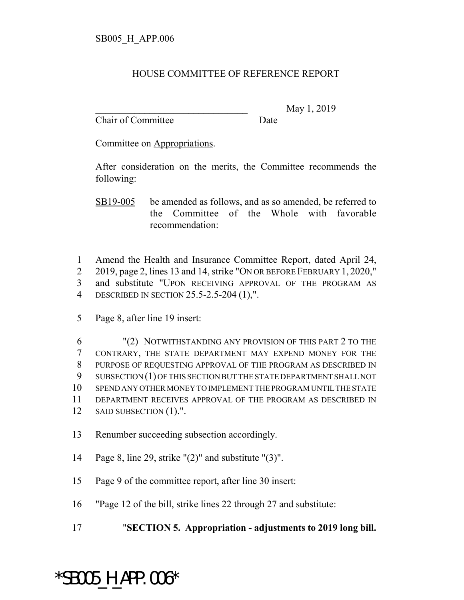## HOUSE COMMITTEE OF REFERENCE REPORT

Chair of Committee Date

\_\_\_\_\_\_\_\_\_\_\_\_\_\_\_\_\_\_\_\_\_\_\_\_\_\_\_\_\_\_\_ May 1, 2019

Committee on Appropriations.

After consideration on the merits, the Committee recommends the following:

SB19-005 be amended as follows, and as so amended, be referred to the Committee of the Whole with favorable recommendation:

- 1 Amend the Health and Insurance Committee Report, dated April 24, 2 2019, page 2, lines 13 and 14, strike "ON OR BEFORE FEBRUARY 1, 2020," 3 and substitute "UPON RECEIVING APPROVAL OF THE PROGRAM AS 4 DESCRIBED IN SECTION 25.5-2.5-204 (1),".
- 5 Page 8, after line 19 insert:

 "(2) NOTWITHSTANDING ANY PROVISION OF THIS PART 2 TO THE CONTRARY, THE STATE DEPARTMENT MAY EXPEND MONEY FOR THE PURPOSE OF REQUESTING APPROVAL OF THE PROGRAM AS DESCRIBED IN SUBSECTION (1) OF THIS SECTION BUT THE STATE DEPARTMENT SHALL NOT SPEND ANY OTHER MONEY TO IMPLEMENT THE PROGRAM UNTIL THE STATE DEPARTMENT RECEIVES APPROVAL OF THE PROGRAM AS DESCRIBED IN 12 SAID SUBSECTION (1).".

- 13 Renumber succeeding subsection accordingly.
- 14 Page 8, line 29, strike "(2)" and substitute "(3)".
- 15 Page 9 of the committee report, after line 30 insert:
- 16 "Page 12 of the bill, strike lines 22 through 27 and substitute:
- 17 "**SECTION 5. Appropriation adjustments to 2019 long bill.**

## \*SB005\_H\_APP.006\*